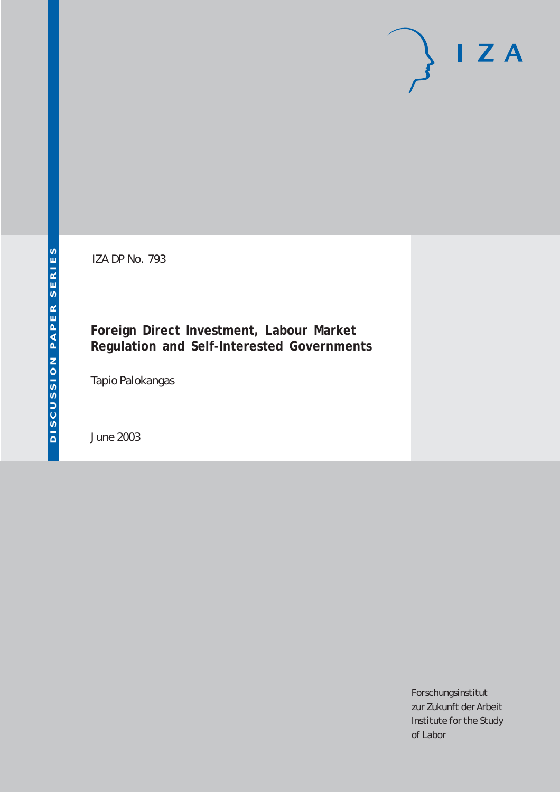# $I Z A$

IZA DP No. 793

#### **Foreign Direct Investment, Labour Market Regulation and Self-Interested Governments**

Tapio Palokangas

June 2003

Forschungsinstitut zur Zukunft der Arbeit Institute for the Study of Labor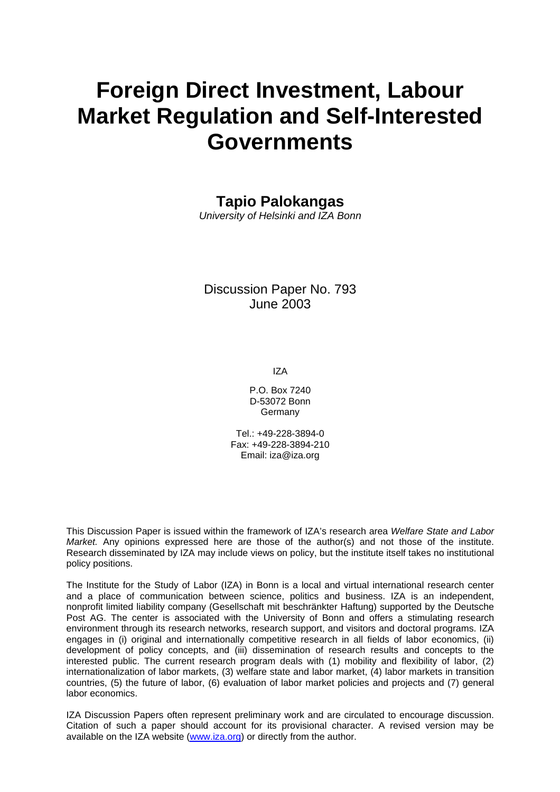# **Foreign Direct Investment, Labour Market Regulation and Self-Interested Governments**

#### **Tapio Palokangas**

*University of Helsinki and IZA Bonn* 

#### Discussion Paper No. 793 June 2003

IZA

P.O. Box 7240 D-53072 Bonn Germany

Tel.: +49-228-3894-0 Fax: +49-228-3894-210 Email: [iza@iza.org](mailto:iza@iza.org)

This Discussion Paper is issued within the framework of IZA's research area *Welfare State and Labor Market.* Any opinions expressed here are those of the author(s) and not those of the institute. Research disseminated by IZA may include views on policy, but the institute itself takes no institutional policy positions.

The Institute for the Study of Labor (IZA) in Bonn is a local and virtual international research center and a place of communication between science, politics and business. IZA is an independent, nonprofit limited liability company (Gesellschaft mit beschränkter Haftung) supported by the Deutsche Post AG. The center is associated with the University of Bonn and offers a stimulating research environment through its research networks, research support, and visitors and doctoral programs. IZA engages in (i) original and internationally competitive research in all fields of labor economics, (ii) development of policy concepts, and (iii) dissemination of research results and concepts to the interested public. The current research program deals with (1) mobility and flexibility of labor, (2) internationalization of labor markets, (3) welfare state and labor market, (4) labor markets in transition countries, (5) the future of labor, (6) evaluation of labor market policies and projects and (7) general labor economics.

IZA Discussion Papers often represent preliminary work and are circulated to encourage discussion. Citation of such a paper should account for its provisional character. A revised version may be available on the IZA website ([www.iza.org](http://www.iza.org/)) or directly from the author.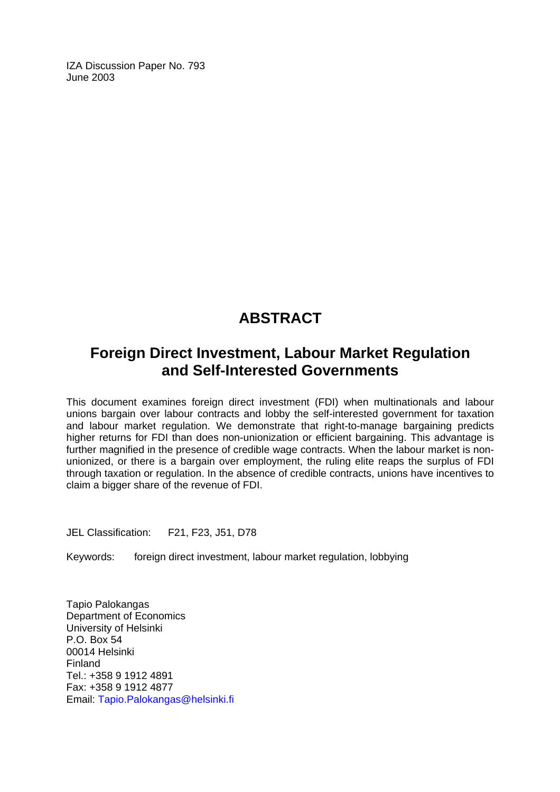IZA Discussion Paper No. 793 June 2003

## **ABSTRACT**

## **Foreign Direct Investment, Labour Market Regulation and Self-Interested Governments**

This document examines foreign direct investment (FDI) when multinationals and labour unions bargain over labour contracts and lobby the self-interested government for taxation and labour market regulation. We demonstrate that right-to-manage bargaining predicts higher returns for FDI than does non-unionization or efficient bargaining. This advantage is further magnified in the presence of credible wage contracts. When the labour market is nonunionized, or there is a bargain over employment, the ruling elite reaps the surplus of FDI through taxation or regulation. In the absence of credible contracts, unions have incentives to claim a bigger share of the revenue of FDI.

JEL Classification: F21, F23, J51, D78

Keywords: foreign direct investment, labour market regulation, lobbying

Tapio Palokangas Department of Economics University of Helsinki P.O. Box 54 00014 Helsinki Finland Tel.: +358 9 1912 4891 Fax: +358 9 1912 4877 Email: [Tapio.Palokangas@helsinki.fi](mailto:Tapio.Palokangas@helsinki.fi)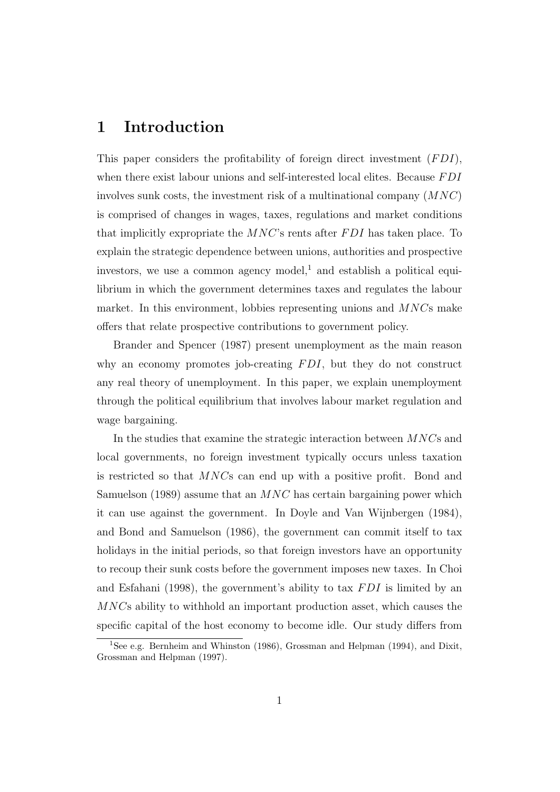#### 1 Introduction

This paper considers the profitability of foreign direct investment  $(FDI)$ , when there exist labour unions and self-interested local elites. Because  $FDI$ involves sunk costs, the investment risk of a multinational company  $(MNC)$ is comprised of changes in wages, taxes, regulations and market conditions that implicitly expropriate the  $MNC$ 's rents after  $FDI$  has taken place. To explain the strategic dependence between unions, authorities and prospective investors, we use a common agency model,<sup>1</sup> and establish a political equilibrium in which the government determines taxes and regulates the labour market. In this environment, lobbies representing unions and  $MNC$ s make offers that relate prospective contributions to government policy.

Brander and Spencer (1987) present unemployment as the main reason why an economy promotes job-creating  $FDI$ , but they do not construct any real theory of unemployment. In this paper, we explain unemployment through the political equilibrium that involves labour market regulation and wage bargaining.

In the studies that examine the strategic interaction between MNCs and local governments, no foreign investment typically occurs unless taxation is restricted so that MNCs can end up with a positive profit. Bond and Samuelson (1989) assume that an  $MNC$  has certain bargaining power which it can use against the government. In Doyle and Van Wijnbergen (1984), and Bond and Samuelson (1986), the government can commit itself to tax holidays in the initial periods, so that foreign investors have an opportunity to recoup their sunk costs before the government imposes new taxes. In Choi and Esfahani (1998), the government's ability to tax  $FDI$  is limited by an MNCs ability to withhold an important production asset, which causes the specific capital of the host economy to become idle. Our study differs from

<sup>&</sup>lt;sup>1</sup>See e.g. Bernheim and Whinston (1986), Grossman and Helpman (1994), and Dixit, Grossman and Helpman (1997).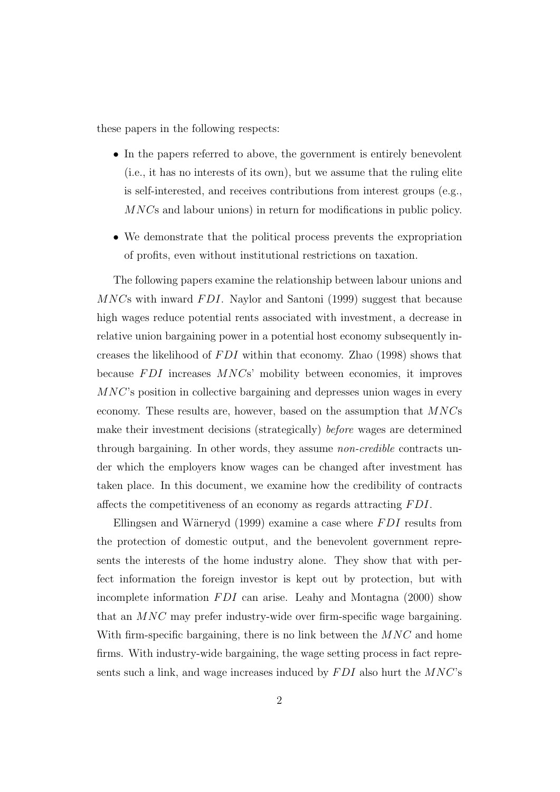these papers in the following respects:

- In the papers referred to above, the government is entirely benevolent (i.e., it has no interests of its own), but we assume that the ruling elite is self-interested, and receives contributions from interest groups (e.g., MNCs and labour unions) in return for modifications in public policy.
- We demonstrate that the political process prevents the expropriation of profits, even without institutional restrictions on taxation.

The following papers examine the relationship between labour unions and  $MNC$ s with inward  $FDI$ . Naylor and Santoni (1999) suggest that because high wages reduce potential rents associated with investment, a decrease in relative union bargaining power in a potential host economy subsequently increases the likelihood of  $FDI$  within that economy. Zhao (1998) shows that because  $FDI$  increases  $MNCs'$  mobility between economies, it improves MNC's position in collective bargaining and depresses union wages in every economy. These results are, however, based on the assumption that  $MNCs$ make their investment decisions (strategically) before wages are determined through bargaining. In other words, they assume non-credible contracts under which the employers know wages can be changed after investment has taken place. In this document, we examine how the credibility of contracts affects the competitiveness of an economy as regards attracting FDI.

Ellingsen and Wärneryd (1999) examine a case where  $FDI$  results from the protection of domestic output, and the benevolent government represents the interests of the home industry alone. They show that with perfect information the foreign investor is kept out by protection, but with incomplete information  $FDI$  can arise. Leahy and Montagna (2000) show that an MNC may prefer industry-wide over firm-specific wage bargaining. With firm-specific bargaining, there is no link between the  $MNC$  and home firms. With industry-wide bargaining, the wage setting process in fact represents such a link, and wage increases induced by  $FDI$  also hurt the  $MNC$ 's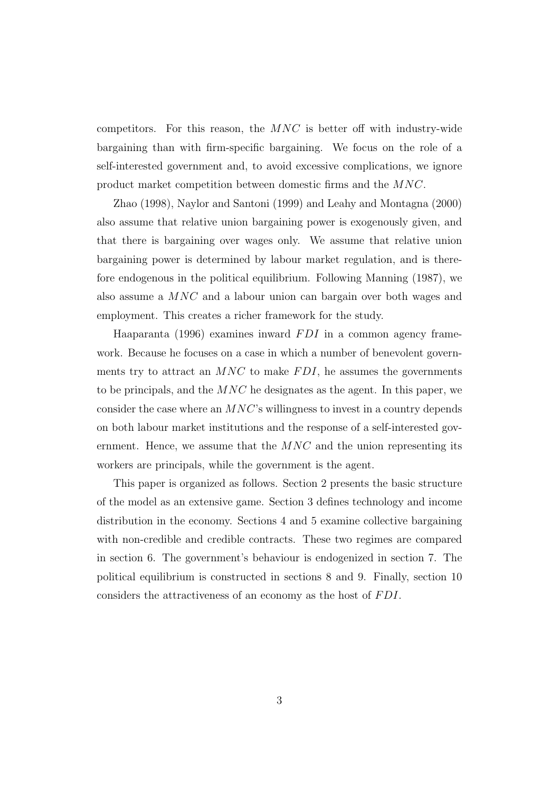competitors. For this reason, the  $MNC$  is better off with industry-wide bargaining than with firm-specific bargaining. We focus on the role of a self-interested government and, to avoid excessive complications, we ignore product market competition between domestic firms and the MNC.

Zhao (1998), Naylor and Santoni (1999) and Leahy and Montagna (2000) also assume that relative union bargaining power is exogenously given, and that there is bargaining over wages only. We assume that relative union bargaining power is determined by labour market regulation, and is therefore endogenous in the political equilibrium. Following Manning (1987), we also assume a MNC and a labour union can bargain over both wages and employment. This creates a richer framework for the study.

Haaparanta (1996) examines inward  $FDI$  in a common agency framework. Because he focuses on a case in which a number of benevolent governments try to attract an  $MNC$  to make  $FDI$ , he assumes the governments to be principals, and the  $MNC$  he designates as the agent. In this paper, we consider the case where an  $MNC$ 's willingness to invest in a country depends on both labour market institutions and the response of a self-interested government. Hence, we assume that the  $MNC$  and the union representing its workers are principals, while the government is the agent.

This paper is organized as follows. Section 2 presents the basic structure of the model as an extensive game. Section 3 defines technology and income distribution in the economy. Sections 4 and 5 examine collective bargaining with non-credible and credible contracts. These two regimes are compared in section 6. The government's behaviour is endogenized in section 7. The political equilibrium is constructed in sections 8 and 9. Finally, section 10 considers the attractiveness of an economy as the host of FDI.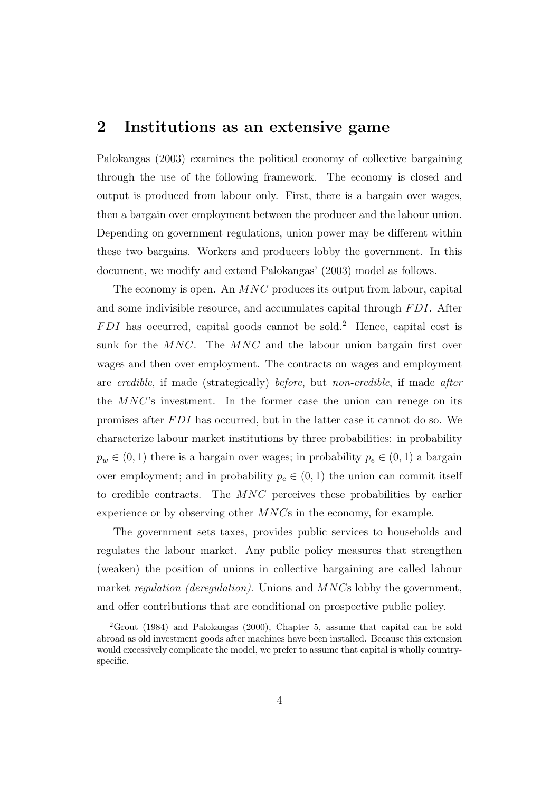#### 2 Institutions as an extensive game

Palokangas (2003) examines the political economy of collective bargaining through the use of the following framework. The economy is closed and output is produced from labour only. First, there is a bargain over wages, then a bargain over employment between the producer and the labour union. Depending on government regulations, union power may be different within these two bargains. Workers and producers lobby the government. In this document, we modify and extend Palokangas' (2003) model as follows.

The economy is open. An MNC produces its output from labour, capital and some indivisible resource, and accumulates capital through FDI. After  $FDI$  has occurred, capital goods cannot be sold.<sup>2</sup> Hence, capital cost is sunk for the MNC. The MNC and the labour union bargain first over wages and then over employment. The contracts on wages and employment are credible, if made (strategically) before, but non-credible, if made after the MNC's investment. In the former case the union can renege on its promises after FDI has occurred, but in the latter case it cannot do so. We characterize labour market institutions by three probabilities: in probability  $p_w \in (0, 1)$  there is a bargain over wages; in probability  $p_e \in (0, 1)$  a bargain over employment; and in probability  $p_c \in (0, 1)$  the union can commit itself to credible contracts. The MNC perceives these probabilities by earlier experience or by observing other MNCs in the economy, for example.

The government sets taxes, provides public services to households and regulates the labour market. Any public policy measures that strengthen (weaken) the position of unions in collective bargaining are called labour market *regulation (deregulation)*. Unions and *MNCs* lobby the government, and offer contributions that are conditional on prospective public policy.

<sup>2</sup>Grout (1984) and Palokangas (2000), Chapter 5, assume that capital can be sold abroad as old investment goods after machines have been installed. Because this extension would excessively complicate the model, we prefer to assume that capital is wholly countryspecific.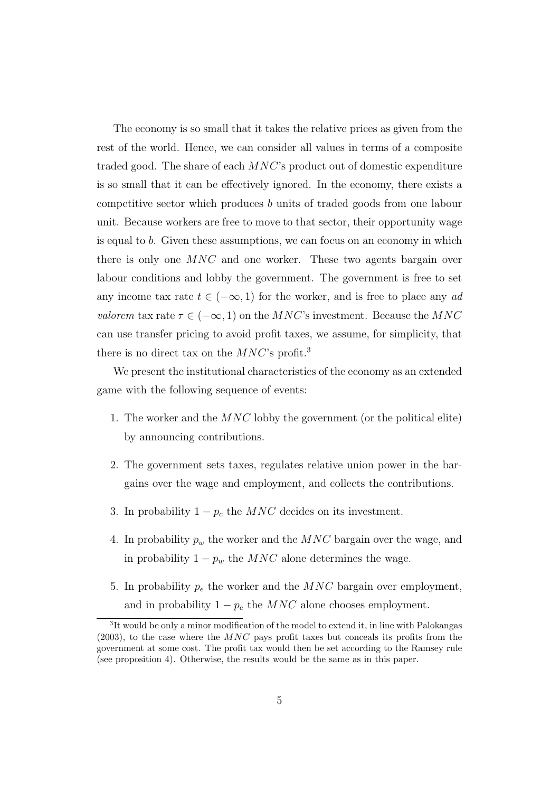The economy is so small that it takes the relative prices as given from the rest of the world. Hence, we can consider all values in terms of a composite traded good. The share of each MNC's product out of domestic expenditure is so small that it can be effectively ignored. In the economy, there exists a competitive sector which produces b units of traded goods from one labour unit. Because workers are free to move to that sector, their opportunity wage is equal to b. Given these assumptions, we can focus on an economy in which there is only one  $MNC$  and one worker. These two agents bargain over labour conditions and lobby the government. The government is free to set any income tax rate  $t \in (-\infty, 1)$  for the worker, and is free to place any ad valorem tax rate  $\tau \in (-\infty, 1)$  on the MNC's investment. Because the MNC can use transfer pricing to avoid profit taxes, we assume, for simplicity, that there is no direct tax on the  $MNC$ 's profit.<sup>3</sup>

We present the institutional characteristics of the economy as an extended game with the following sequence of events:

- 1. The worker and the  $MNC$  lobby the government (or the political elite) by announcing contributions.
- 2. The government sets taxes, regulates relative union power in the bargains over the wage and employment, and collects the contributions.
- 3. In probability  $1 p_c$  the MNC decides on its investment.
- 4. In probability  $p_w$  the worker and the MNC bargain over the wage, and in probability  $1 - p_w$  the MNC alone determines the wage.
- 5. In probability  $p_e$  the worker and the  $MNC$  bargain over employment, and in probability  $1 - p_e$  the  $MNC$  alone chooses employment.

<sup>&</sup>lt;sup>3</sup>It would be only a minor modification of the model to extend it, in line with Palokangas  $(2003)$ , to the case where the  $MNC$  pays profit taxes but conceals its profits from the government at some cost. The profit tax would then be set according to the Ramsey rule (see proposition 4). Otherwise, the results would be the same as in this paper.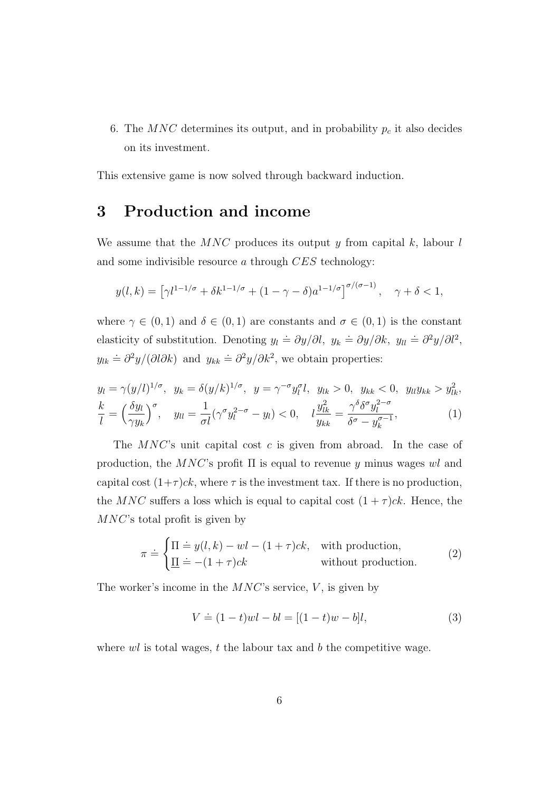6. The MNC determines its output, and in probability  $p_c$  it also decides on its investment.

This extensive game is now solved through backward induction.

#### 3 Production and income

We assume that the  $MNC$  produces its output y from capital k, labour l and some indivisible resource a through CES technology:

$$
y(l,k) = \left[\gamma l^{1-1/\sigma} + \delta k^{1-1/\sigma} + (1-\gamma-\delta)a^{1-1/\sigma}\right]^{\sigma/(\sigma-1)}, \quad \gamma + \delta < 1,
$$

where  $\gamma \in (0,1)$  and  $\delta \in (0,1)$  are constants and  $\sigma \in (0,1)$  is the constant elasticity of substitution. Denoting  $y_l \doteq \frac{\partial y}{\partial l}$ ,  $y_k \doteq \frac{\partial y}{\partial k}$ ,  $y_{ll} \doteq \frac{\partial^2 y}{\partial l^2}$ ,  $y_{lk} \doteq \frac{\partial^2 y}{\partial \lambda^k}$  and  $y_{kk} \doteq \frac{\partial^2 y}{\partial k^2}$ , we obtain properties:

$$
y_l = \gamma (y/l)^{1/\sigma}, \ y_k = \delta (y/k)^{1/\sigma}, \ y = \gamma^{-\sigma} y_l^{\sigma} l, \ y_{lk} > 0, \ y_{kk} < 0, \ y_{ll} y_{kk} > y_{lk}^2,
$$
  

$$
\frac{k}{l} = \left(\frac{\delta y_l}{\gamma y_k}\right)^{\sigma}, \ y_{ll} = \frac{1}{\sigma l} (\gamma^{\sigma} y_l^{2-\sigma} - y_l) < 0, \quad l \frac{y_{lk}^2}{y_{kk}} = \frac{\gamma^{\delta} \delta^{\sigma} y_l^{2-\sigma}}{\delta^{\sigma} - y_k^{\sigma - 1}}, \tag{1}
$$

The  $MNC$ 's unit capital cost c is given from abroad. In the case of production, the MNC's profit  $\Pi$  is equal to revenue y minus wages wl and capital cost  $(1+\tau)ck$ , where  $\tau$  is the investment tax. If there is no production, the MNC suffers a loss which is equal to capital cost  $(1 + \tau)ck$ . Hence, the MNC's total profit is given by

$$
\pi \doteq \begin{cases} \Pi \doteq y(l,k) - wl - (1+\tau)ck, & \text{with production,} \\ \underline{\Pi} \doteq -(1+\tau)ck & \text{without production.} \end{cases}
$$
 (2)

The worker's income in the  $MNC$ 's service, V, is given by

$$
V \doteq (1-t)wl - bl = [(1-t)w - b]l,
$$
\n(3)

where  $wl$  is total wages,  $t$  the labour tax and  $b$  the competitive wage.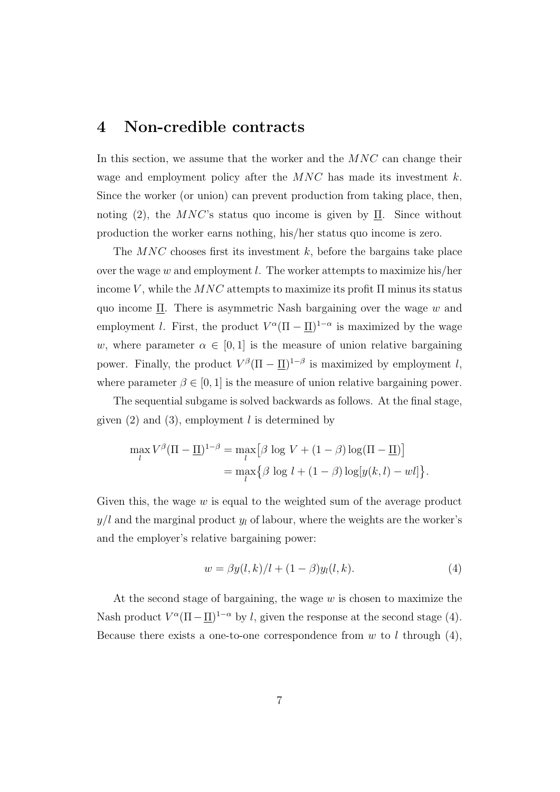#### 4 Non-credible contracts

In this section, we assume that the worker and the  $MNC$  can change their wage and employment policy after the  $MNC$  has made its investment k. Since the worker (or union) can prevent production from taking place, then, noting (2), the MNC's status quo income is given by  $\Pi$ . Since without production the worker earns nothing, his/her status quo income is zero.

The  $MNC$  chooses first its investment k, before the bargains take place over the wage w and employment l. The worker attempts to maximize his/her income V, while the  $MNC$  attempts to maximize its profit  $\Pi$  minus its status quo income  $\Pi$ . There is asymmetric Nash bargaining over the wage w and employment *l*. First, the product  $V^{\alpha}(\Pi - \underline{\Pi})^{1-\alpha}$  is maximized by the wage w, where parameter  $\alpha \in [0, 1]$  is the measure of union relative bargaining power. Finally, the product  $V^{\beta}(\Pi - \underline{\Pi})^{1-\beta}$  is maximized by employment l, where parameter  $\beta \in [0, 1]$  is the measure of union relative bargaining power.

The sequential subgame is solved backwards as follows. At the final stage, given  $(2)$  and  $(3)$ , employment l is determined by

$$
\max_{l} V^{\beta} (\Pi - \underline{\Pi})^{1-\beta} = \max_{l} [\beta \log V + (1-\beta) \log(\Pi - \underline{\Pi})]
$$
  
= 
$$
\max_{l} {\beta \log l + (1-\beta) \log[y(k, l) - w l]}.
$$

Given this, the wage  $w$  is equal to the weighted sum of the average product  $y/l$  and the marginal product  $y_l$  of labour, where the weights are the worker's and the employer's relative bargaining power:

$$
w = \beta y(l, k)/l + (1 - \beta)y_l(l, k).
$$
 (4)

At the second stage of bargaining, the wage  $w$  is chosen to maximize the Nash product  $V^{\alpha}(\Pi - \underline{\Pi})^{1-\alpha}$  by l, given the response at the second stage (4). Because there exists a one-to-one correspondence from  $w$  to l through (4),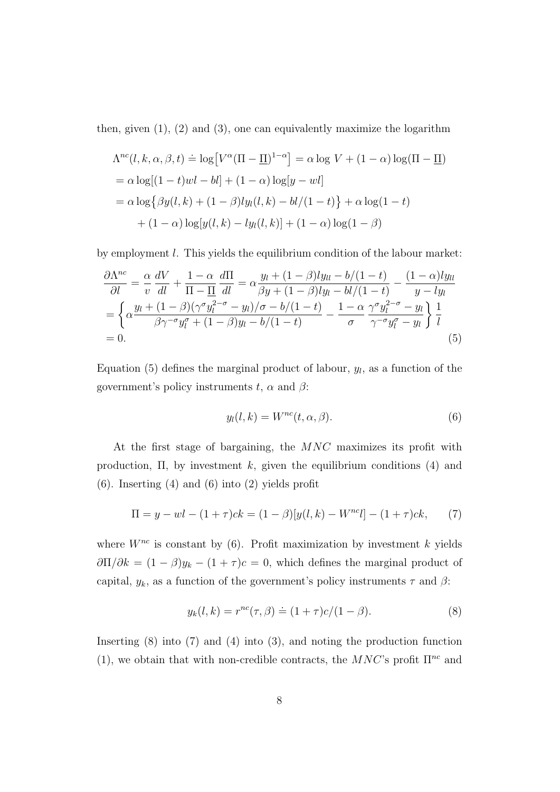then, given  $(1)$ ,  $(2)$  and  $(3)$ , one can equivalently maximize the logarithm

$$
\Lambda^{nc}(l, k, \alpha, \beta, t) \doteq \log[V^{\alpha}(\Pi - \underline{\Pi})^{1-\alpha}] = \alpha \log V + (1 - \alpha) \log(\Pi - \underline{\Pi})
$$
  
=  $\alpha \log[(1 - t)wl - bl] + (1 - \alpha) \log[y -wl]$   
=  $\alpha \log{\beta y(l, k) + (1 - \beta)ly_l(l, k) - bl/(1 - t)} + \alpha \log(1 - t)$   
+  $(1 - \alpha) \log[y(l, k) - ly_l(l, k)] + (1 - \alpha) \log(1 - \beta)$ 

by employment l. This yields the equilibrium condition of the labour market:

$$
\frac{\partial \Lambda^{nc}}{\partial l} = \frac{\alpha}{v} \frac{dV}{dl} + \frac{1 - \alpha}{\Pi - \Pi} \frac{d\Pi}{dl} = \alpha \frac{y_l + (1 - \beta)ly_{ll} - b/(1 - t)}{\beta y + (1 - \beta)ly_l - bl/(1 - t)} - \frac{(1 - \alpha)ly_{ll}}{y - ly_l}
$$

$$
= \left\{ \alpha \frac{y_l + (1 - \beta)(\gamma^{\sigma} y_l^{2 - \sigma} - y_l)/\sigma - b/(1 - t)}{\beta \gamma^{-\sigma} y_l^{\sigma} + (1 - \beta)y_l - b/(1 - t)} - \frac{1 - \alpha}{\sigma} \frac{\gamma^{\sigma} y_l^{2 - \sigma} - y_l}{\gamma^{-\sigma} y_l^{\sigma} - y_l} \right\} \frac{1}{l}
$$

$$
= 0.
$$
(5)

Equation (5) defines the marginal product of labour,  $y_l$ , as a function of the government's policy instruments  $t$ ,  $\alpha$  and  $\beta$ :

$$
y_l(l,k) = W^{nc}(t,\alpha,\beta). \tag{6}
$$

At the first stage of bargaining, the MNC maximizes its profit with production,  $\Pi$ , by investment k, given the equilibrium conditions (4) and (6). Inserting (4) and (6) into (2) yields profit

$$
\Pi = y - w l - (1 + \tau) c k = (1 - \beta) [y(l, k) - W^{nc} l] - (1 + \tau) c k, \tag{7}
$$

where  $W^{nc}$  is constant by (6). Profit maximization by investment k yields  $\frac{\partial \Pi}{\partial k} = (1 - \beta)y_k - (1 + \tau)c = 0$ , which defines the marginal product of capital,  $y_k$ , as a function of the government's policy instruments  $\tau$  and  $\beta$ :

$$
y_k(l,k) = r^{nc}(\tau,\beta) \doteq (1+\tau)c/(1-\beta).
$$
 (8)

Inserting  $(8)$  into  $(7)$  and  $(4)$  into  $(3)$ , and noting the production function (1), we obtain that with non-credible contracts, the  $MNC$ 's profit  $\Pi^{nc}$  and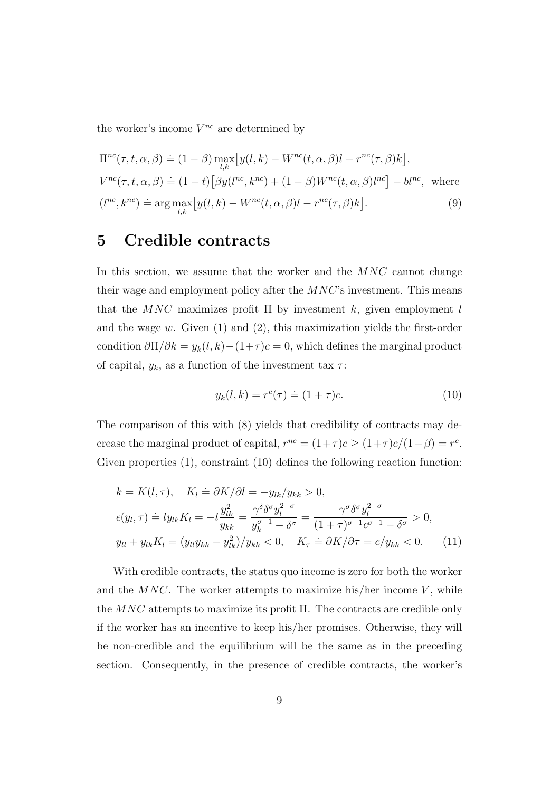the worker's income  $V^{nc}$  are determined by

$$
\Pi^{nc}(\tau, t, \alpha, \beta) \doteq (1 - \beta) \max_{l,k} \left[ y(l, k) - W^{nc}(t, \alpha, \beta)l - r^{nc}(\tau, \beta)k \right],
$$
  
\n
$$
V^{nc}(\tau, t, \alpha, \beta) \doteq (1 - t) \left[ \beta y(l^{nc}, k^{nc}) + (1 - \beta)W^{nc}(t, \alpha, \beta)l^{nc} \right] - bl^{nc}, \text{ where}
$$
  
\n
$$
(l^{nc}, k^{nc}) \doteq \arg \max_{l,k} \left[ y(l, k) - W^{nc}(t, \alpha, \beta)l - r^{nc}(\tau, \beta)k \right].
$$
 (9)

#### 5 Credible contracts

In this section, we assume that the worker and the  $MNC$  cannot change their wage and employment policy after the  $MNC$ 's investment. This means that the  $MNC$  maximizes profit  $\Pi$  by investment k, given employment l and the wage  $w$ . Given  $(1)$  and  $(2)$ , this maximization yields the first-order condition  $\frac{\partial \Pi}{\partial k} = y_k(l, k) - (1 + \tau)c = 0$ , which defines the marginal product of capital,  $y_k$ , as a function of the investment tax  $\tau$ :

$$
y_k(l,k) = r^c(\tau) \doteq (1+\tau)c.
$$
 (10)

The comparison of this with (8) yields that credibility of contracts may decrease the marginal product of capital,  $r^{nc} = (1+\tau)c \ge (1+\tau)c/(1-\beta) = r^c$ . Given properties (1), constraint (10) defines the following reaction function:

$$
k = K(l, \tau), \quad K_l \doteq \partial K/\partial l = -y_{lk}/y_{kk} > 0,
$$
  
\n
$$
\epsilon(y_l, \tau) \doteq l y_{lk} K_l = -l \frac{y_{lk}^2}{y_{kk}} = \frac{\gamma^{\delta} \delta^{\sigma} y_l^{2-\sigma}}{y_k^{\sigma-1} - \delta^{\sigma}} = \frac{\gamma^{\sigma} \delta^{\sigma} y_l^{2-\sigma}}{(1+\tau)^{\sigma-1} c^{\sigma-1} - \delta^{\sigma}} > 0,
$$
  
\n
$$
y_{ll} + y_{lk} K_l = (y_{ll} y_{kk} - y_{lk}^2)/y_{kk} < 0, \quad K_{\tau} \doteq \partial K/\partial \tau = c/y_{kk} < 0.
$$
 (11)

With credible contracts, the status quo income is zero for both the worker and the  $MNC$ . The worker attempts to maximize his/her income V, while the  $MNC$  attempts to maximize its profit  $\Pi$ . The contracts are credible only if the worker has an incentive to keep his/her promises. Otherwise, they will be non-credible and the equilibrium will be the same as in the preceding section. Consequently, in the presence of credible contracts, the worker's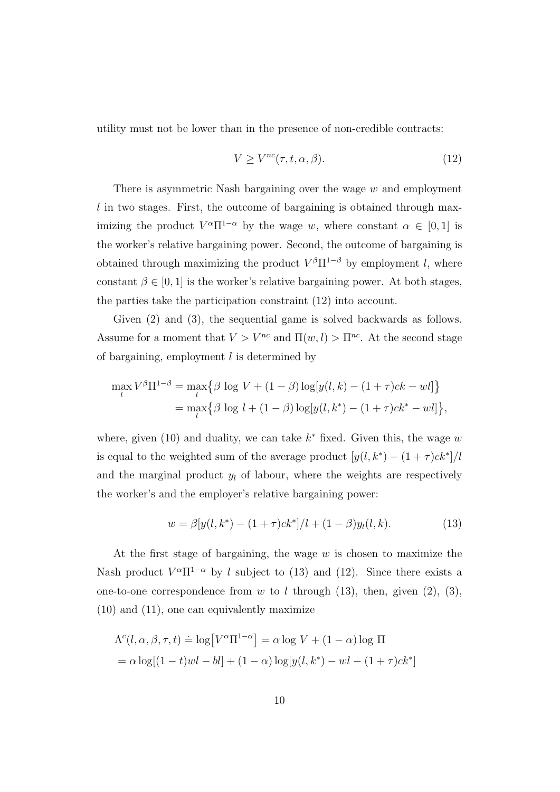utility must not be lower than in the presence of non-credible contracts:

$$
V \ge V^{nc}(\tau, t, \alpha, \beta). \tag{12}
$$

There is asymmetric Nash bargaining over the wage  $w$  and employment l in two stages. First, the outcome of bargaining is obtained through maximizing the product  $V^{\alpha}\Pi^{1-\alpha}$  by the wage w, where constant  $\alpha \in [0,1]$  is the worker's relative bargaining power. Second, the outcome of bargaining is obtained through maximizing the product  $V^{\beta} \Pi^{1-\beta}$  by employment l, where constant  $\beta \in [0, 1]$  is the worker's relative bargaining power. At both stages, the parties take the participation constraint (12) into account.

Given (2) and (3), the sequential game is solved backwards as follows. Assume for a moment that  $V > V^{nc}$  and  $\Pi(w, l) > \Pi^{nc}$ . At the second stage of bargaining, employment  $l$  is determined by

$$
\max_{l} V^{\beta} \Pi^{1-\beta} = \max_{l} \{ \beta \log V + (1-\beta) \log[y(l,k) - (1+\tau)ck -wl] \}
$$
  
= 
$$
\max_{l} \{ \beta \log l + (1-\beta) \log[y(l,k^*) - (1+\tau)ck^* -wl] \},
$$

where, given  $(10)$  and duality, we can take  $k^*$  fixed. Given this, the wage w is equal to the weighted sum of the average product  $[y(l, k^*) - (1 + \tau)ck^*]/l$ and the marginal product  $y_l$  of labour, where the weights are respectively the worker's and the employer's relative bargaining power:

$$
w = \beta [y(l, k^*) - (1 + \tau)ck^*]/l + (1 - \beta)y_l(l, k). \tag{13}
$$

At the first stage of bargaining, the wage  $w$  is chosen to maximize the Nash product  $V^{\alpha}\Pi^{1-\alpha}$  by l subject to (13) and (12). Since there exists a one-to-one correspondence from w to l through (13), then, given (2), (3), (10) and (11), one can equivalently maximize

$$
\Lambda^{c}(l, \alpha, \beta, \tau, t) \doteq \log[V^{\alpha}\Pi^{1-\alpha}] = \alpha \log V + (1 - \alpha) \log \Pi
$$
  
=  $\alpha \log[(1 - t)wl - bl] + (1 - \alpha) \log[y(l, k^{*}) -wl - (1 + \tau)ck^{*}]$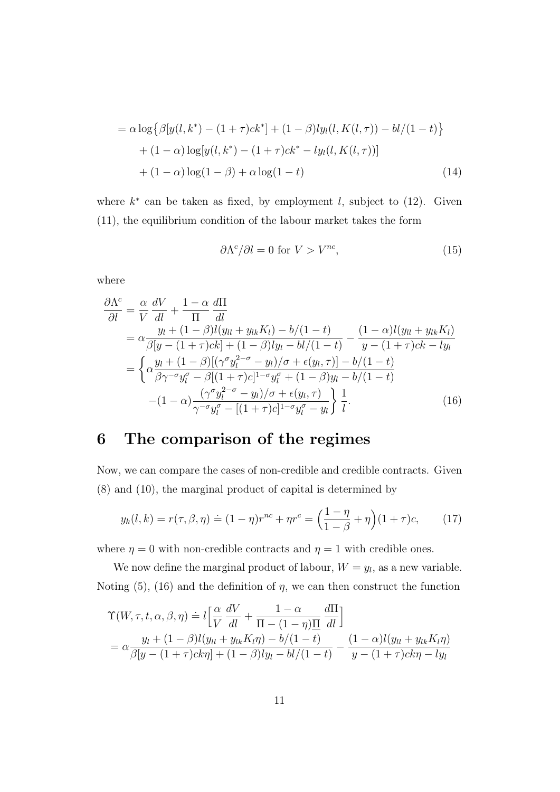$$
= \alpha \log \{ \beta [y(l, k^*) - (1 + \tau)ck^*] + (1 - \beta)ly_l(l, K(l, \tau)) - bl/(1 - t) \} + (1 - \alpha) \log[y(l, k^*) - (1 + \tau)ck^* - ly_l(l, K(l, \tau))] + (1 - \alpha) \log(1 - \beta) + \alpha \log(1 - t)
$$
(14)

where  $k^*$  can be taken as fixed, by employment l, subject to (12). Given (11), the equilibrium condition of the labour market takes the form

$$
\partial \Lambda^c / \partial l = 0 \text{ for } V > V^{nc},\tag{15}
$$

where

$$
\frac{\partial \Lambda^c}{\partial l} = \frac{\alpha}{V} \frac{dV}{dl} + \frac{1 - \alpha}{\Pi} \frac{d\Pi}{dl} \n= \alpha \frac{y_l + (1 - \beta)l(y_{ll} + y_{lk}K_l) - b/(1 - t)}{\beta[y - (1 + \tau)ck] + (1 - \beta)y_l - bl/(1 - t)} - \frac{(1 - \alpha)l(y_{ll} + y_{lk}K_l)}{y - (1 + \tau)ck - ly_l} \n= \begin{cases} \alpha \frac{y_l + (1 - \beta)[(\gamma^{\sigma} y_l^{2 - \sigma} - y_l)/\sigma + \epsilon(y_l, \tau)] - b/(1 - t)}{\beta \gamma^{-\sigma} y_l^{\sigma} - \beta[(1 + \tau)c]^{1 - \sigma} y_l^{\sigma} + (1 - \beta)y_l - b/(1 - t)} \n- (1 - \alpha) \frac{(\gamma^{\sigma} y_l^{2 - \sigma} - y_l)/\sigma + \epsilon(y_l, \tau)}{\gamma^{-\sigma} y_l^{\sigma} - [(1 + \tau)c]^{1 - \sigma} y_l^{\sigma} - y_l} \end{cases} \frac{1}{l}.
$$
\n(16)

# 6 The comparison of the regimes

Now, we can compare the cases of non-credible and credible contracts. Given (8) and (10), the marginal product of capital is determined by

$$
y_k(l,k) = r(\tau,\beta,\eta) \doteq (1-\eta)r^{nc} + \eta r^c = \left(\frac{1-\eta}{1-\beta} + \eta\right)(1+\tau)c, \qquad (17)
$$

where  $\eta = 0$  with non-credible contracts and  $\eta = 1$  with credible ones.

We now define the marginal product of labour,  $W = y_l$ , as a new variable. Noting  $(5)$ ,  $(16)$  and the definition of  $\eta$ , we can then construct the function

$$
\begin{aligned} \Upsilon(W,\tau,t,\alpha,\beta,\eta) &= l \left[ \frac{\alpha}{V} \frac{dV}{dl} + \frac{1-\alpha}{\Pi - (1-\eta)\Pi} \frac{d\Pi}{dl} \right] \\ &= \alpha \frac{y_l + (1-\beta)l(y_{ll} + y_{lk}K_l\eta) - b/(1-t)}{\beta[y - (1+\tau)ck\eta] + (1-\beta)ly_l - bl/(1-t)} - \frac{(1-\alpha)l(y_{ll} + y_{lk}K_l\eta)}{y - (1+\tau)ck\eta - ly_l} \end{aligned}
$$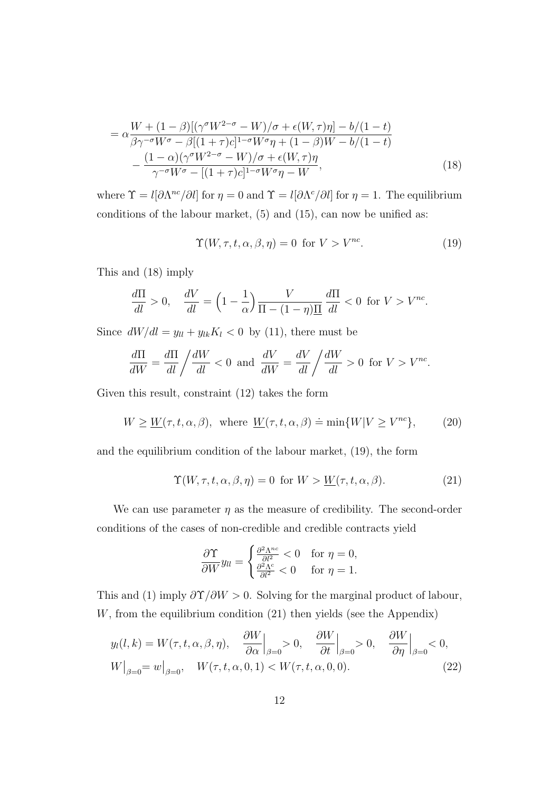$$
= \alpha \frac{W + (1 - \beta)[(\gamma^{\sigma} W^{2-\sigma} - W)/\sigma + \epsilon(W, \tau)\eta] - b/(1 - t)}{\beta \gamma^{-\sigma} W^{\sigma} - \beta[(1 + \tau)c]^{1-\sigma} W^{\sigma}\eta + (1 - \beta)W - b/(1 - t)} - \frac{(1 - \alpha)(\gamma^{\sigma} W^{2-\sigma} - W)/\sigma + \epsilon(W, \tau)\eta}{\gamma^{-\sigma} W^{\sigma} - [(1 + \tau)c]^{1-\sigma} W^{\sigma}\eta - W},
$$
\n(18)

where  $\Upsilon = l[\partial \Lambda^{nc}/\partial l]$  for  $\eta = 0$  and  $\Upsilon = l[\partial \Lambda^{c}/\partial l]$  for  $\eta = 1$ . The equilibrium conditions of the labour market, (5) and (15), can now be unified as:

$$
\Upsilon(W,\tau,t,\alpha,\beta,\eta) = 0 \text{ for } V > V^{nc}.
$$
 (19)

This and (18) imply

$$
\frac{d\Pi}{dl} > 0, \quad \frac{dV}{dl} = \left(1 - \frac{1}{\alpha}\right) \frac{V}{\Pi - (1 - \eta)\underline{\Pi}} \frac{d\Pi}{dl} < 0 \text{ for } V > V^{nc}.
$$

Since  $dW/dl = y_{ll} + y_{lk}K_l < 0$  by (11), there must be

$$
\frac{d\Pi}{dW} = \frac{d\Pi}{dl} / \frac{dW}{dl} < 0 \text{ and } \frac{dV}{dW} = \frac{dV}{dl} / \frac{dW}{dl} > 0 \text{ for } V > V^{nc}.
$$

Given this result, constraint (12) takes the form

$$
W \ge \underline{W}(\tau, t, \alpha, \beta), \text{ where } \underline{W}(\tau, t, \alpha, \beta) \doteq \min\{W|V \ge V^{nc}\},\tag{20}
$$

and the equilibrium condition of the labour market, (19), the form

$$
\Upsilon(W,\tau,t,\alpha,\beta,\eta) = 0 \text{ for } W > \underline{W}(\tau,t,\alpha,\beta). \tag{21}
$$

We can use parameter  $\eta$  as the measure of credibility. The second-order conditions of the cases of non-credible and credible contracts yield

$$
\frac{\partial \Upsilon}{\partial W} y_{ll} = \begin{cases} \frac{\partial^2 \Lambda^{nc}}{\partial l^2} < 0 \quad \text{for } \eta = 0, \\ \frac{\partial^2 \Lambda^c}{\partial l^2} < 0 \quad \text{for } \eta = 1. \end{cases}
$$

This and (1) imply  $\frac{\partial \Upsilon}{\partial W} > 0$ . Solving for the marginal product of labour,  $W$ , from the equilibrium condition  $(21)$  then yields (see the Appendix)

$$
y_l(l,k) = W(\tau, t, \alpha, \beta, \eta), \quad \frac{\partial W}{\partial \alpha}\Big|_{\beta=0} > 0, \quad \frac{\partial W}{\partial t}\Big|_{\beta=0} > 0, \quad \frac{\partial W}{\partial \eta}\Big|_{\beta=0} < 0,
$$
  

$$
W\Big|_{\beta=0} = w\Big|_{\beta=0}, \quad W(\tau, t, \alpha, 0, 1) < W(\tau, t, \alpha, 0, 0).
$$
 (22)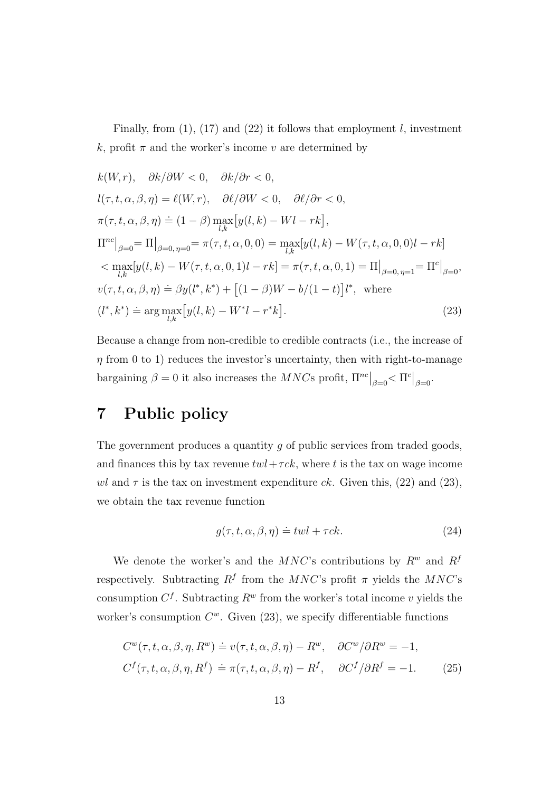Finally, from  $(1)$ ,  $(17)$  and  $(22)$  it follows that employment l, investment k, profit  $\pi$  and the worker's income v are determined by

$$
k(W,r), \quad \partial k/\partial W < 0, \quad \partial k/\partial r < 0,
$$
\n
$$
l(\tau, t, \alpha, \beta, \eta) = \ell(W,r), \quad \partial \ell/\partial W < 0, \quad \partial \ell/\partial r < 0,
$$
\n
$$
\pi(\tau, t, \alpha, \beta, \eta) \doteq (1 - \beta) \max_{l,k} [y(l, k) - Wl - rk],
$$
\n
$$
\Pi^{nc}|_{\beta=0} = \Pi|_{\beta=0, \eta=0} = \pi(\tau, t, \alpha, 0, 0) = \max_{l,k} [y(l, k) - W(\tau, t, \alpha, 0, 0)l - rk]
$$
\n
$$
< \max_{l,k} [y(l, k) - W(\tau, t, \alpha, 0, 1)l - rk] = \pi(\tau, t, \alpha, 0, 1) = \Pi|_{\beta=0, \eta=1} = \Pi^{c}|_{\beta=0},
$$
\n
$$
v(\tau, t, \alpha, \beta, \eta) \doteq \beta y(l^*, k^*) + [(1 - \beta)W - b/(1 - t)]l^*, \text{ where}
$$
\n
$$
(l^*, k^*) \doteq \arg \max_{l,k} [y(l, k) - W^*l - r^*k].
$$
\n(23)

Because a change from non-credible to credible contracts (i.e., the increase of  $\eta$  from 0 to 1) reduces the investor's uncertainty, then with right-to-manage bargaining  $\beta = 0$  it also increases the  $MNCs$  profit,  $\Pi^{nc}|_{\beta=0} < \Pi^{c}|_{\beta=0}$ .

#### 7 Public policy

The government produces a quantity g of public services from traded goods, and finances this by tax revenue  $twl + \tau ck$ , where t is the tax on wage income wl and  $\tau$  is the tax on investment expenditure ck. Given this, (22) and (23), we obtain the tax revenue function

$$
g(\tau, t, \alpha, \beta, \eta) \doteq twl + \tau ck.
$$
 (24)

We denote the worker's and the  $MNC$ 's contributions by  $R^w$  and  $R^f$ respectively. Subtracting  $R^f$  from the MNC's profit  $\pi$  yields the MNC's consumption  $C<sup>f</sup>$ . Subtracting  $R<sup>w</sup>$  from the worker's total income v yields the worker's consumption  $C^w$ . Given (23), we specify differentiable functions

$$
C^{w}(\tau, t, \alpha, \beta, \eta, R^{w}) \doteq v(\tau, t, \alpha, \beta, \eta) - R^{w}, \quad \partial C^{w}/\partial R^{w} = -1,
$$
  

$$
C^{f}(\tau, t, \alpha, \beta, \eta, R^{f}) \doteq \pi(\tau, t, \alpha, \beta, \eta) - R^{f}, \quad \partial C^{f}/\partial R^{f} = -1.
$$
 (25)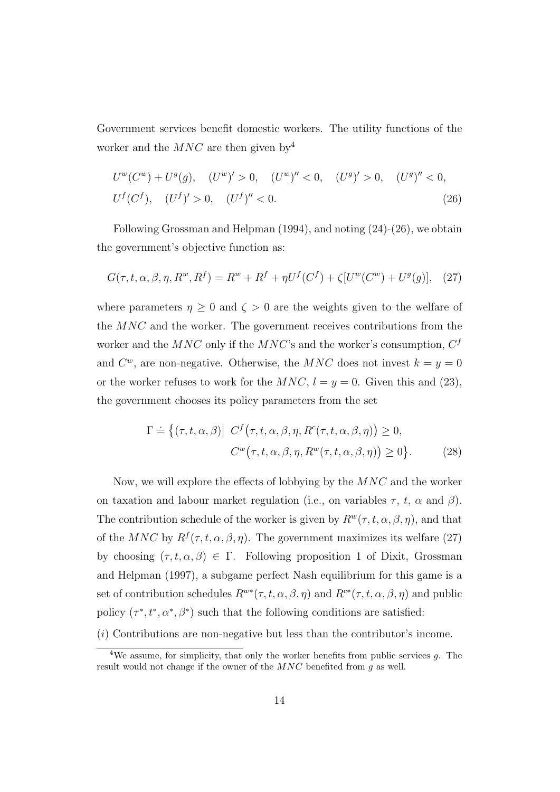Government services benefit domestic workers. The utility functions of the worker and the  $MNC$  are then given by<sup>4</sup>

$$
U^w(C^w) + U^g(g), \quad (U^w)' > 0, \quad (U^w)'' < 0, \quad (U^g)' > 0, \quad (U^g)'' < 0,
$$
  

$$
U^f(C^f), \quad (U^f)' > 0, \quad (U^f)'' < 0.
$$
 (26)

Following Grossman and Helpman (1994), and noting (24)-(26), we obtain the government's objective function as:

$$
G(\tau, t, \alpha, \beta, \eta, R^w, R^f) = R^w + R^f + \eta U^f(C^f) + \zeta [U^w(C^w) + U^g(g)], \quad (27)
$$

where parameters  $\eta \geq 0$  and  $\zeta > 0$  are the weights given to the welfare of the MNC and the worker. The government receives contributions from the worker and the  $MNC$  only if the  $MNC$ 's and the worker's consumption,  $C<sup>f</sup>$ and  $C^w$ , are non-negative. Otherwise, the MNC does not invest  $k = y = 0$ or the worker refuses to work for the  $MNC$ ,  $l = y = 0$ . Given this and (23), the government chooses its policy parameters from the set

$$
\Gamma \doteq \{ (\tau, t, \alpha, \beta) | C^f(\tau, t, \alpha, \beta, \eta, R^c(\tau, t, \alpha, \beta, \eta)) \ge 0, \n C^w(\tau, t, \alpha, \beta, \eta, R^w(\tau, t, \alpha, \beta, \eta)) \ge 0 \}.
$$
\n(28)

Now, we will explore the effects of lobbying by the MNC and the worker on taxation and labour market regulation (i.e., on variables  $\tau$ ,  $t$ ,  $\alpha$  and  $\beta$ ). The contribution schedule of the worker is given by  $R^w(\tau, t, \alpha, \beta, \eta)$ , and that of the MNC by  $R^f(\tau, t, \alpha, \beta, \eta)$ . The government maximizes its welfare (27) by choosing  $(\tau, t, \alpha, \beta) \in \Gamma$ . Following proposition 1 of Dixit, Grossman and Helpman (1997), a subgame perfect Nash equilibrium for this game is a set of contribution schedules  $R^{w*}(\tau, t, \alpha, \beta, \eta)$  and  $R^{c*}(\tau, t, \alpha, \beta, \eta)$  and public policy  $(\tau^*, t^*, \alpha^*, \beta^*)$  such that the following conditions are satisfied:

 $(i)$  Contributions are non-negative but less than the contributor's income.

<sup>&</sup>lt;sup>4</sup>We assume, for simplicity, that only the worker benefits from public services  $q$ . The result would not change if the owner of the  $MNC$  benefited from g as well.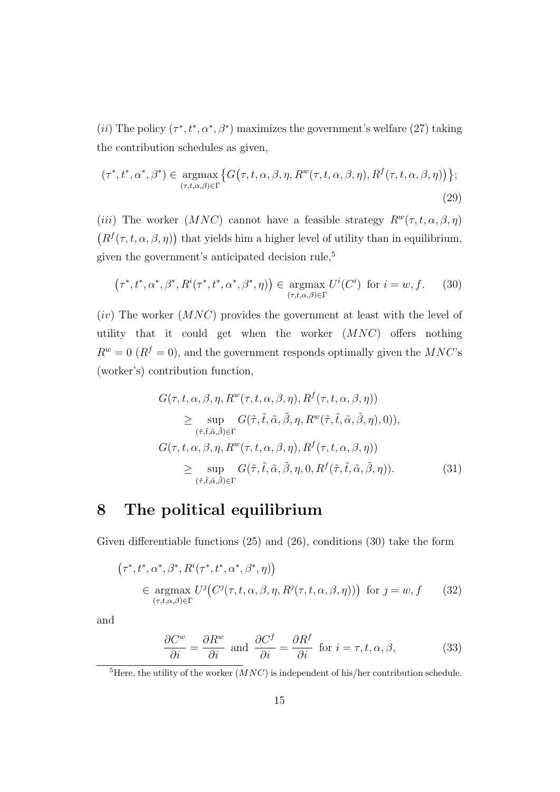(*ii*) The policy  $(\tau^*, t^*, \alpha^*, \beta^*)$  maximizes the government's welfare (27) taking the contribution schedules as given,

$$
(\tau^*, t^*, \alpha^*, \beta^*) \in \underset{(\tau, t, \alpha, \beta) \in \Gamma}{\text{argmax}} \{ G(\tau, t, \alpha, \beta, \eta, R^w(\tau, t, \alpha, \beta, \eta), R^f(\tau, t, \alpha, \beta, \eta)) \};
$$
\n
$$
(29)
$$

(iii) The worker (MNC) cannot have a feasible strategy  $R^w(\tau, t, \alpha, \beta, \eta)$  $(R^f(\tau, t, \alpha, \beta, \eta))$  that yields him a higher level of utility than in equilibrium, given the government's anticipated decision rule,<sup>5</sup>

$$
(\tau^*, t^*, \alpha^*, \beta^*, R^i(\tau^*, t^*, \alpha^*, \beta^*, \eta)) \in \operatorname*{argmax}_{(\tau, t, \alpha, \beta) \in \Gamma} U^i(C^i) \text{ for } i = w, f. \tag{30}
$$

 $(iv)$  The worker  $(MNC)$  provides the government at least with the level of utility that it could get when the worker  $(MNC)$  offers nothing  $R^w = 0$  ( $R^f = 0$ ), and the government responds optimally given the  $MNC$ 's (worker's) contribution function,

$$
G(\tau, t, \alpha, \beta, \eta, R^{w}(\tau, t, \alpha, \beta, \eta), R^{f}(\tau, t, \alpha, \beta, \eta))
$$
  
\n
$$
\geq \sup_{(\tilde{\tau}, \tilde{t}, \tilde{\alpha}, \tilde{\beta}) \in \Gamma} G(\tilde{\tau}, \tilde{t}, \tilde{\alpha}, \tilde{\beta}, \eta, R^{w}(\tilde{\tau}, \tilde{t}, \tilde{\alpha}, \tilde{\beta}, \eta), 0)),
$$
  
\n
$$
G(\tau, t, \alpha, \beta, \eta, R^{w}(\tau, t, \alpha, \beta, \eta), R^{f}(\tau, t, \alpha, \beta, \eta))
$$
  
\n
$$
\geq \sup_{(\tilde{\tau}, \tilde{t}, \tilde{\alpha}, \tilde{\beta}) \in \Gamma} G(\tilde{\tau}, \tilde{t}, \tilde{\alpha}, \tilde{\beta}, \eta, 0, R^{f}(\tilde{\tau}, \tilde{t}, \tilde{\alpha}, \tilde{\beta}, \eta)).
$$
\n(31)

#### 8 The political equilibrium

Given differentiable functions (25) and (26), conditions (30) take the form

$$
(\tau^*, t^*, \alpha^*, \beta^*, R^i(\tau^*, t^*, \alpha^*, \beta^*, \eta))
$$
  
\n
$$
\in \underset{(\tau, t, \alpha, \beta) \in \Gamma}{\operatorname{argmax}} U^j(C^j(\tau, t, \alpha, \beta, \eta, R^j(\tau, t, \alpha, \beta, \eta))) \text{ for } j = w, f \qquad (32)
$$

and

$$
\frac{\partial C^w}{\partial i} = \frac{\partial R^w}{\partial i} \text{ and } \frac{\partial C^f}{\partial i} = \frac{\partial R^f}{\partial i} \text{ for } i = \tau, t, \alpha, \beta,
$$
 (33)

<sup>&</sup>lt;sup>5</sup>Here, the utility of the worker  $(MNC)$  is independent of his/her contribution schedule.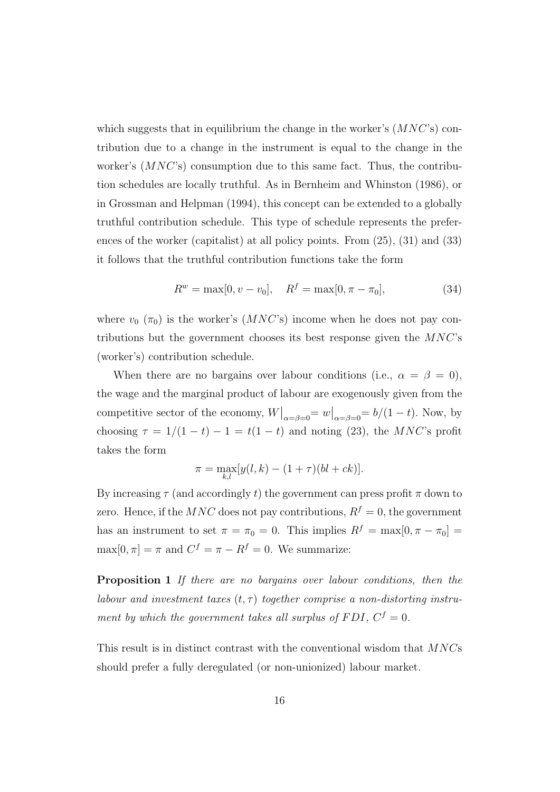which suggests that in equilibrium the change in the worker's  $(MNC)$  contribution due to a change in the instrument is equal to the change in the worker's  $(MNC^s)$  consumption due to this same fact. Thus, the contribution schedules are locally truthful. As in Bernheim and Whinston (1986), or in Grossman and Helpman (1994), this concept can be extended to a globally truthful contribution schedule. This type of schedule represents the preferences of the worker (capitalist) at all policy points. From (25), (31) and (33) it follows that the truthful contribution functions take the form

$$
R^w = \max[0, v - v_0], \quad R^f = \max[0, \pi - \pi_0], \tag{34}
$$

where  $v_0$  ( $\pi_0$ ) is the worker's (MNC's) income when he does not pay contributions but the government chooses its best response given the  $MNC$ 's (worker's) contribution schedule.

When there are no bargains over labour conditions (i.e.,  $\alpha = \beta = 0$ ), the wage and the marginal product of labour are exogenously given from the competitive sector of the economy,  $W\big|_{\alpha=\beta=0} = w\big|_{\alpha=\beta=0} = b/(1-t)$ . Now, by choosing  $\tau = 1/(1-t) - 1 = t(1-t)$  and noting (23), the MNC's profit takes the form

$$
\pi = \max_{k,l} [y(l,k) - (1+\tau)(bl+ck)].
$$

By increasing  $\tau$  (and accordingly t) the government can press profit  $\pi$  down to zero. Hence, if the  $MNC$  does not pay contributions,  $R^f = 0$ , the government has an instrument to set  $\pi = \pi_0 = 0$ . This implies  $R^f = \max[0, \pi - \pi_0] =$  $\max[0, \pi] = \pi$  and  $C^f = \pi - R^f = 0$ . We summarize:

Proposition 1 If there are no bargains over labour conditions, then the labour and investment taxes  $(t, \tau)$  together comprise a non-distorting instrument by which the government takes all surplus of FDI,  $C<sup>f</sup> = 0$ .

This result is in distinct contrast with the conventional wisdom that MNCs should prefer a fully deregulated (or non-unionized) labour market.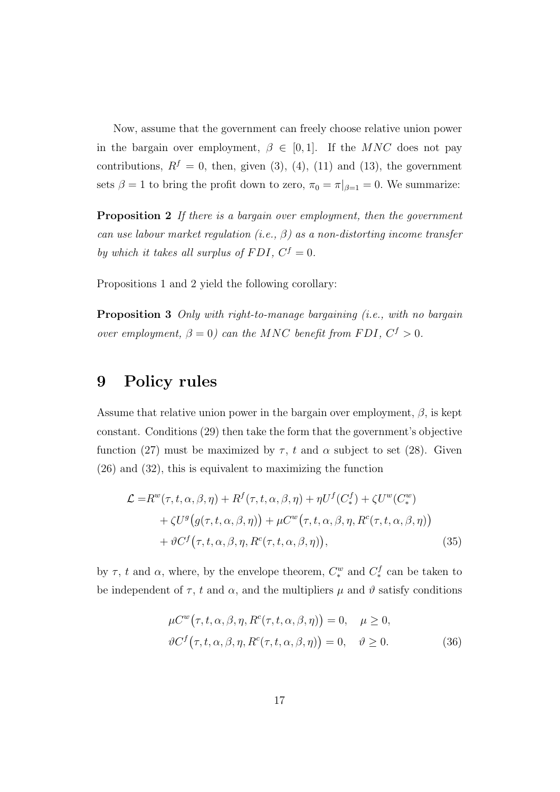Now, assume that the government can freely choose relative union power in the bargain over employment,  $\beta \in [0,1]$ . If the MNC does not pay contributions,  $R^f = 0$ , then, given (3), (4), (11) and (13), the government sets  $\beta = 1$  to bring the profit down to zero,  $\pi_0 = \pi|_{\beta=1} = 0$ . We summarize:

**Proposition 2** If there is a bargain over employment, then the government can use labour market regulation (i.e.,  $\beta$ ) as a non-distorting income transfer by which it takes all surplus of FDI,  $C^f = 0$ .

Propositions 1 and 2 yield the following corollary:

Proposition 3 Only with right-to-manage bargaining (i.e., with no bargain over employment,  $\beta = 0$ ) can the MNC benefit from FDI,  $C^{f} > 0$ .

#### 9 Policy rules

Assume that relative union power in the bargain over employment,  $\beta$ , is kept constant. Conditions (29) then take the form that the government's objective function (27) must be maximized by  $\tau$ , t and  $\alpha$  subject to set (28). Given (26) and (32), this is equivalent to maximizing the function

$$
\mathcal{L} = R^{w}(\tau, t, \alpha, \beta, \eta) + R^{f}(\tau, t, \alpha, \beta, \eta) + \eta U^{f}(C_{*}^{f}) + \zeta U^{w}(C_{*}^{w}) + \zeta U^{g}(g(\tau, t, \alpha, \beta, \eta)) + \mu C^{w}(\tau, t, \alpha, \beta, \eta, R^{c}(\tau, t, \alpha, \beta, \eta)) + \vartheta C^{f}(\tau, t, \alpha, \beta, \eta, R^{c}(\tau, t, \alpha, \beta, \eta)),
$$
\n(35)

by  $\tau$ ,  $t$  and  $\alpha$ , where, by the envelope theorem,  $C_*^w$  and  $C_*^f$  can be taken to be independent of  $\tau$ , t and  $\alpha$ , and the multipliers  $\mu$  and  $\vartheta$  satisfy conditions

$$
\mu C^{w}(\tau, t, \alpha, \beta, \eta, R^{c}(\tau, t, \alpha, \beta, \eta)) = 0, \quad \mu \ge 0,
$$
  

$$
\vartheta C^{f}(\tau, t, \alpha, \beta, \eta, R^{c}(\tau, t, \alpha, \beta, \eta)) = 0, \quad \vartheta \ge 0.
$$
 (36)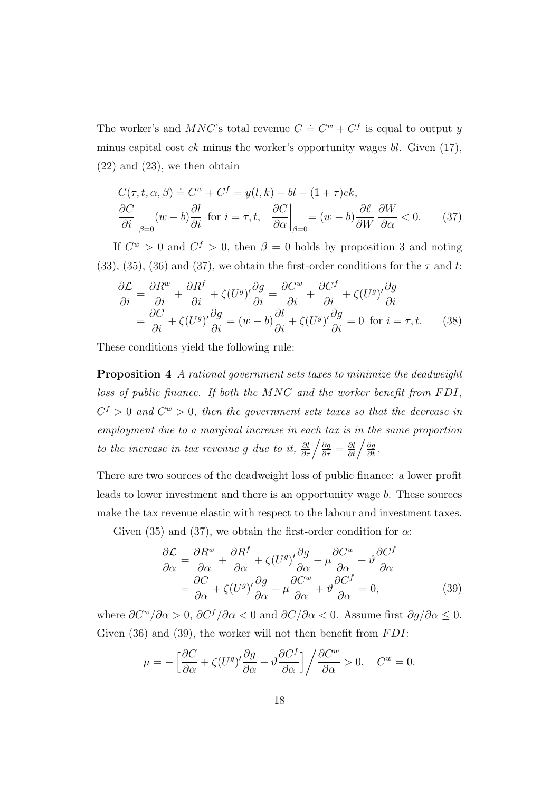The worker's and  $MNC$ 's total revenue  $C \doteq C^w + C^f$  is equal to output y minus capital cost  $ck$  minus the worker's opportunity wages  $bl$ . Given (17),  $(22)$  and  $(23)$ , we then obtain

$$
C(\tau, t, \alpha, \beta) \doteq C^{w} + C^{f} = y(l, k) - bl - (1 + \tau)ck,
$$
  
\n
$$
\left. \frac{\partial C}{\partial i} \right|_{\beta=0} (w - b) \frac{\partial l}{\partial i} \text{ for } i = \tau, t, \quad \left. \frac{\partial C}{\partial \alpha} \right|_{\beta=0} = (w - b) \frac{\partial \ell}{\partial W} \frac{\partial W}{\partial \alpha} < 0. \quad (37)
$$

If  $C^w > 0$  and  $C^f > 0$ , then  $\beta = 0$  holds by proposition 3 and noting (33), (35), (36) and (37), we obtain the first-order conditions for the  $\tau$  and t:

$$
\frac{\partial \mathcal{L}}{\partial i} = \frac{\partial R^w}{\partial i} + \frac{\partial R^f}{\partial i} + \zeta (U^g)' \frac{\partial g}{\partial i} = \frac{\partial C^w}{\partial i} + \frac{\partial C^f}{\partial i} + \zeta (U^g)' \frac{\partial g}{\partial i} \n= \frac{\partial C}{\partial i} + \zeta (U^g)' \frac{\partial g}{\partial i} = (w - b) \frac{\partial l}{\partial i} + \zeta (U^g)' \frac{\partial g}{\partial i} = 0 \text{ for } i = \tau, t.
$$
\n(38)

These conditions yield the following rule:

Proposition 4 A rational government sets taxes to minimize the deadweight loss of public finance. If both the  $MNC$  and the worker benefit from  $FDI$ ,  $C<sup>f</sup> > 0$  and  $C<sup>w</sup> > 0$ , then the government sets taxes so that the decrease in employment due to a marginal increase in each tax is in the same proportion to the increase in tax revenue g due to it,  $\frac{\partial l}{\partial \tau} / \frac{\partial g}{\partial \tau} = \frac{\partial l}{\partial t} / \frac{\partial g}{\partial t}$ .

There are two sources of the deadweight loss of public finance: a lower profit leads to lower investment and there is an opportunity wage b. These sources make the tax revenue elastic with respect to the labour and investment taxes.

Given (35) and (37), we obtain the first-order condition for  $\alpha$ :

$$
\frac{\partial \mathcal{L}}{\partial \alpha} = \frac{\partial R^{w}}{\partial \alpha} + \frac{\partial R^{f}}{\partial \alpha} + \zeta (U^{g})' \frac{\partial g}{\partial \alpha} + \mu \frac{\partial C^{w}}{\partial \alpha} + \vartheta \frac{\partial C^{f}}{\partial \alpha} \n= \frac{\partial C}{\partial \alpha} + \zeta (U^{g})' \frac{\partial g}{\partial \alpha} + \mu \frac{\partial C^{w}}{\partial \alpha} + \vartheta \frac{\partial C^{f}}{\partial \alpha} = 0,
$$
\n(39)

where  $\partial C^w/\partial \alpha > 0$ ,  $\partial C^f/\partial \alpha < 0$  and  $\partial C/\partial \alpha < 0$ . Assume first  $\partial g/\partial \alpha \leq 0$ . Given  $(36)$  and  $(39)$ , the worker will not then benefit from  $FDI$ :

$$
\mu = -\left[\frac{\partial C}{\partial \alpha} + \zeta (U^g)' \frac{\partial g}{\partial \alpha} + \vartheta \frac{\partial C^f}{\partial \alpha}\right] / \frac{\partial C^w}{\partial \alpha} > 0, \quad C^w = 0.
$$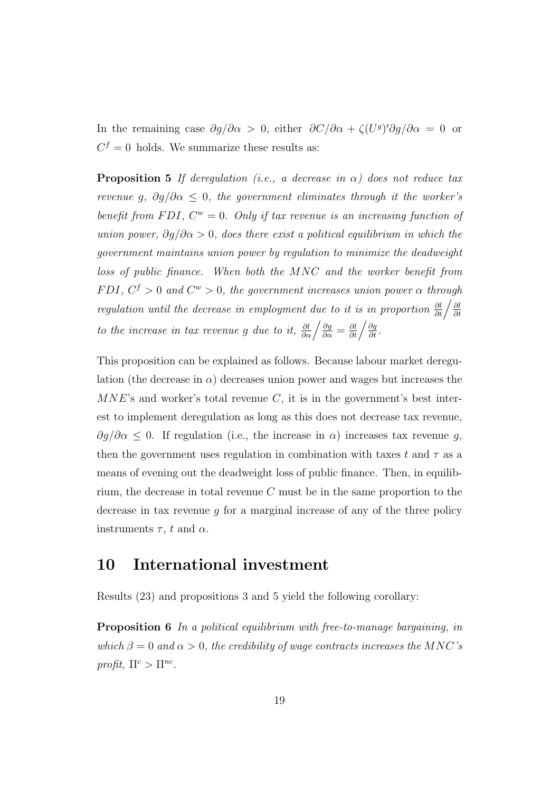In the remaining case  $\partial g/\partial \alpha > 0$ , either  $\partial C/\partial \alpha + \zeta (U^g)' \partial g/\partial \alpha = 0$  or  $C<sup>f</sup> = 0$  holds. We summarize these results as:

**Proposition 5** If deregulation (i.e., a decrease in  $\alpha$ ) does not reduce tax revenue g,  $\partial g/\partial \alpha \leq 0$ , the government eliminates through it the worker's benefit from FDI,  $C^w = 0$ . Only if tax revenue is an increasing function of union power,  $\partial q/\partial \alpha > 0$ , does there exist a political equilibrium in which the government maintains union power by regulation to minimize the deadweight loss of public finance. When both the MNC and the worker benefit from FDI,  $C^f > 0$  and  $C^w > 0$ , the government increases union power  $\alpha$  through regulation until the decrease in employment due to it is in proportion  $\frac{\partial l}{\partial t} / \frac{\partial l}{\partial t}$ ∂t to the increase in tax revenue g due to it,  $\frac{\partial l}{\partial \alpha} \left/ \frac{\partial g}{\partial \alpha} = \frac{\partial l}{\partial t} \left/ \frac{\partial g}{\partial t} \right.$ 

This proposition can be explained as follows. Because labour market deregulation (the decrease in  $\alpha$ ) decreases union power and wages but increases the  $MNE$ 's and worker's total revenue C, it is in the government's best interest to implement deregulation as long as this does not decrease tax revenue,  $\partial g/\partial \alpha \leq 0$ . If regulation (i.e., the increase in  $\alpha$ ) increases tax revenue g, then the government uses regulation in combination with taxes t and  $\tau$  as a means of evening out the deadweight loss of public finance. Then, in equilibrium, the decrease in total revenue  $C$  must be in the same proportion to the decrease in tax revenue  $g$  for a marginal increase of any of the three policy instruments  $\tau$ , t and  $\alpha$ .

#### 10 International investment

Results (23) and propositions 3 and 5 yield the following corollary:

Proposition 6 In a political equilibrium with free-to-manage bargaining, in which  $\beta = 0$  and  $\alpha > 0$ , the credibility of wage contracts increases the MNC's profit,  $\Pi^c > \Pi^{nc}$ .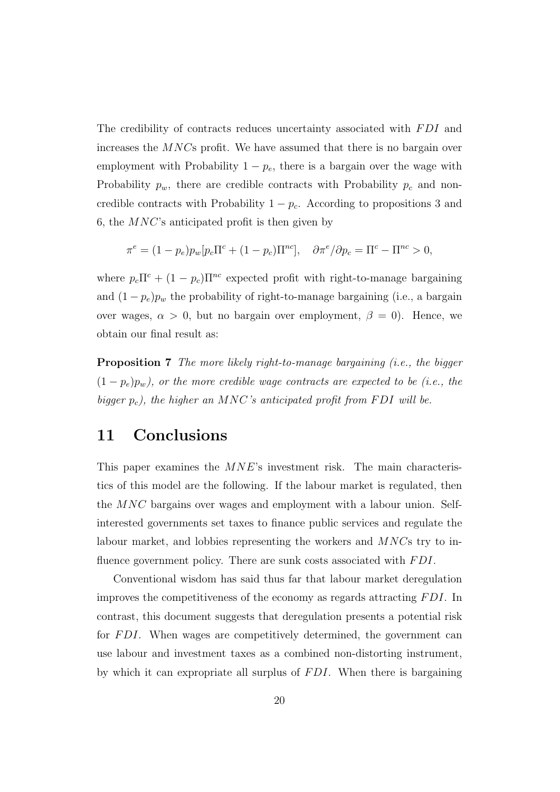The credibility of contracts reduces uncertainty associated with FDI and increases the MNCs profit. We have assumed that there is no bargain over employment with Probability  $1 - p_e$ , there is a bargain over the wage with Probability  $p_w$ , there are credible contracts with Probability  $p_c$  and noncredible contracts with Probability  $1 - p_c$ . According to propositions 3 and 6, the MNC's anticipated profit is then given by

$$
\pi^e = (1 - p_e) p_w [p_c \Pi^c + (1 - p_c) \Pi^{nc}], \quad \partial \pi^e / \partial p_c = \Pi^c - \Pi^{nc} > 0,
$$

where  $p_c \Pi^c + (1 - p_c) \Pi^{nc}$  expected profit with right-to-manage bargaining and  $(1-p_e)p_w$  the probability of right-to-manage bargaining (i.e., a bargain over wages,  $\alpha > 0$ , but no bargain over employment,  $\beta = 0$ ). Hence, we obtain our final result as:

Proposition 7 The more likely right-to-manage bargaining (i.e., the bigger  $(1-p_e)p_w$ ), or the more credible wage contracts are expected to be (i.e., the bigger  $p_c$ ), the higher an MNC's anticipated profit from FDI will be.

#### 11 Conclusions

This paper examines the  $MNE$ 's investment risk. The main characteristics of this model are the following. If the labour market is regulated, then the MNC bargains over wages and employment with a labour union. Selfinterested governments set taxes to finance public services and regulate the labour market, and lobbies representing the workers and MNCs try to influence government policy. There are sunk costs associated with FDI.

Conventional wisdom has said thus far that labour market deregulation improves the competitiveness of the economy as regards attracting FDI. In contrast, this document suggests that deregulation presents a potential risk for FDI. When wages are competitively determined, the government can use labour and investment taxes as a combined non-distorting instrument, by which it can expropriate all surplus of  $FDI$ . When there is bargaining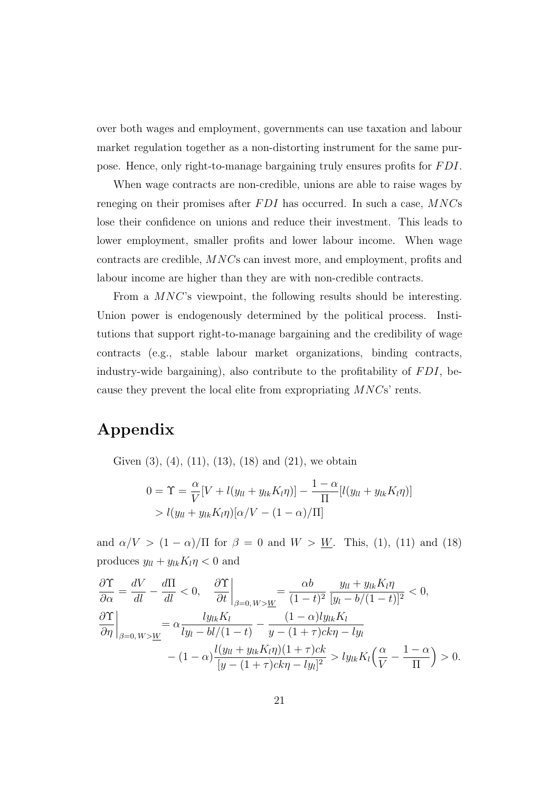over both wages and employment, governments can use taxation and labour market regulation together as a non-distorting instrument for the same purpose. Hence, only right-to-manage bargaining truly ensures profits for FDI.

When wage contracts are non-credible, unions are able to raise wages by reneging on their promises after  $FDI$  has occurred. In such a case,  $MNCs$ lose their confidence on unions and reduce their investment. This leads to lower employment, smaller profits and lower labour income. When wage contracts are credible, MNCs can invest more, and employment, profits and labour income are higher than they are with non-credible contracts.

From a MNC's viewpoint, the following results should be interesting. Union power is endogenously determined by the political process. Institutions that support right-to-manage bargaining and the credibility of wage contracts (e.g., stable labour market organizations, binding contracts, industry-wide bargaining), also contribute to the profitability of  $FDI$ , because they prevent the local elite from expropriating MNCs' rents.

### Appendix

Given  $(3)$ ,  $(4)$ ,  $(11)$ ,  $(13)$ ,  $(18)$  and  $(21)$ , we obtain

$$
0 = \Upsilon = \frac{\alpha}{V} [V + l(y_{ll} + y_{lk} K_l \eta)] - \frac{1 - \alpha}{\Pi} [l(y_{ll} + y_{lk} K_l \eta)]
$$
  
>  $l(y_{ll} + y_{lk} K_l \eta) [\alpha/V - (1 - \alpha)/\Pi]$ 

and  $\alpha/V > (1 - \alpha)/\Pi$  for  $\beta = 0$  and  $W > W$ . This, (1), (11) and (18) produces  $y_{ll} + y_{lk} K_l \eta < 0$  and

$$
\frac{\partial \Upsilon}{\partial \alpha} = \frac{dV}{dl} - \frac{d\Pi}{dl} < 0, \quad \frac{\partial \Upsilon}{\partial t} \bigg|_{\beta=0, W > \underline{W}} = \frac{\alpha b}{(1-t)^2} \frac{y_{ll} + y_{lk} K_l \eta}{[y_l - b/(1-t)]^2} < 0,
$$
\n
$$
\frac{\partial \Upsilon}{\partial \eta} \bigg|_{\beta=0, W > \underline{W}} = \alpha \frac{ly_{lk} K_l}{ly_l - bl/(1-t)} - \frac{(1-\alpha)ly_{lk} K_l}{y - (1+\tau)ck\eta - ly_l} - (1-\alpha) \frac{l(y_{ll} + y_{lk} K_l \eta)(1+\tau)ck}{[y - (1+\tau)ck\eta - ly_l]^2} > ly_{lk} K_l \left(\frac{\alpha}{V} - \frac{1-\alpha}{\Pi}\right) > 0.
$$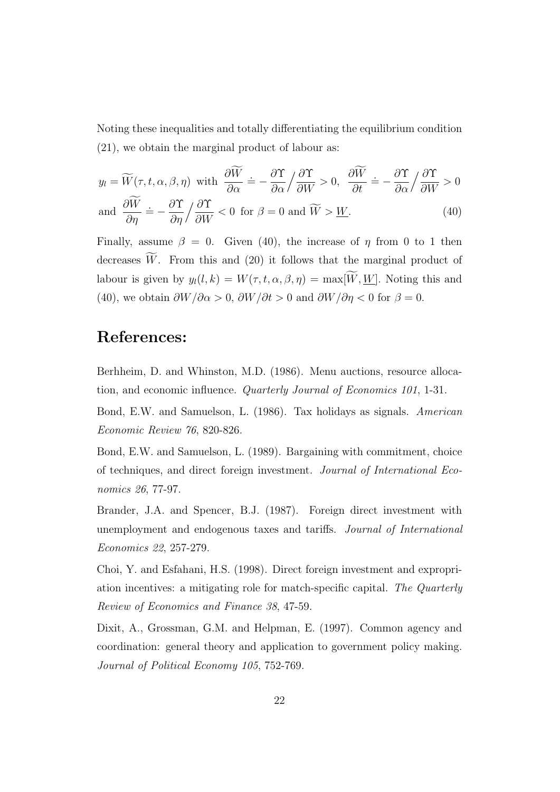Noting these inequalities and totally differentiating the equilibrium condition (21), we obtain the marginal product of labour as:

$$
y_l = \widetilde{W}(\tau, t, \alpha, \beta, \eta) \text{ with } \frac{\partial \widetilde{W}}{\partial \alpha} = -\frac{\partial \Upsilon}{\partial \alpha} / \frac{\partial \Upsilon}{\partial W} > 0, \quad \frac{\partial \widetilde{W}}{\partial t} = -\frac{\partial \Upsilon}{\partial \alpha} / \frac{\partial \Upsilon}{\partial W} > 0
$$
  
and 
$$
\frac{\partial \widetilde{W}}{\partial \eta} = -\frac{\partial \Upsilon}{\partial \eta} / \frac{\partial \Upsilon}{\partial W} < 0 \text{ for } \beta = 0 \text{ and } \widetilde{W} > \underline{W}.
$$
 (40)

Finally, assume  $\beta = 0$ . Given (40), the increase of  $\eta$  from 0 to 1 then decreases  $\widetilde{W}$ . From this and (20) it follows that the marginal product of labour is given by  $y_l(l, k) = W(\tau, t, \alpha, \beta, \eta) = \max[W, W]$ . Noting this and (40), we obtain  $\frac{\partial W}{\partial \alpha} > 0$ ,  $\frac{\partial W}{\partial t} > 0$  and  $\frac{\partial W}{\partial \eta} < 0$  for  $\beta = 0$ .

#### References:

Berhheim, D. and Whinston, M.D. (1986). Menu auctions, resource allocation, and economic influence. Quarterly Journal of Economics 101, 1-31.

Bond, E.W. and Samuelson, L. (1986). Tax holidays as signals. American Economic Review 76, 820-826.

Bond, E.W. and Samuelson, L. (1989). Bargaining with commitment, choice of techniques, and direct foreign investment. Journal of International Economics 26, 77-97.

Brander, J.A. and Spencer, B.J. (1987). Foreign direct investment with unemployment and endogenous taxes and tariffs. Journal of International Economics 22, 257-279.

Choi, Y. and Esfahani, H.S. (1998). Direct foreign investment and expropriation incentives: a mitigating role for match-specific capital. The Quarterly Review of Economics and Finance 38, 47-59.

Dixit, A., Grossman, G.M. and Helpman, E. (1997). Common agency and coordination: general theory and application to government policy making. Journal of Political Economy 105, 752-769.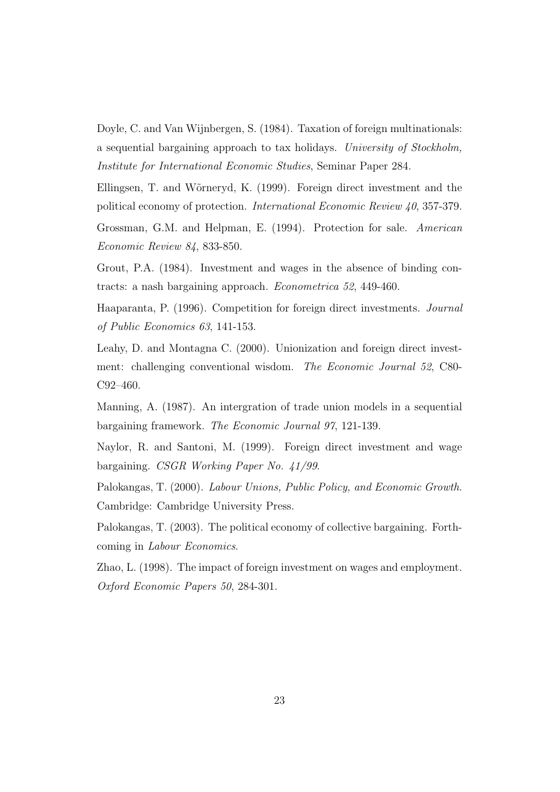Doyle, C. and Van Wijnbergen, S. (1984). Taxation of foreign multinationals: a sequential bargaining approach to tax holidays. University of Stockholm, Institute for International Economic Studies, Seminar Paper 284.

Ellingsen, T. and W˜orneryd, K. (1999). Foreign direct investment and the political economy of protection. International Economic Review 40, 357-379.

Grossman, G.M. and Helpman, E. (1994). Protection for sale. American Economic Review 84, 833-850.

Grout, P.A. (1984). Investment and wages in the absence of binding contracts: a nash bargaining approach. Econometrica 52, 449-460.

Haaparanta, P. (1996). Competition for foreign direct investments. Journal of Public Economics 63, 141-153.

Leahy, D. and Montagna C. (2000). Unionization and foreign direct investment: challenging conventional wisdom. The Economic Journal 52, C80- C92–460.

Manning, A. (1987). An intergration of trade union models in a sequential bargaining framework. The Economic Journal 97, 121-139.

Naylor, R. and Santoni, M. (1999). Foreign direct investment and wage bargaining. CSGR Working Paper No. 41/99.

Palokangas, T. (2000). Labour Unions, Public Policy, and Economic Growth. Cambridge: Cambridge University Press.

Palokangas, T. (2003). The political economy of collective bargaining. Forthcoming in Labour Economics.

Zhao, L. (1998). The impact of foreign investment on wages and employment. Oxford Economic Papers 50, 284-301.